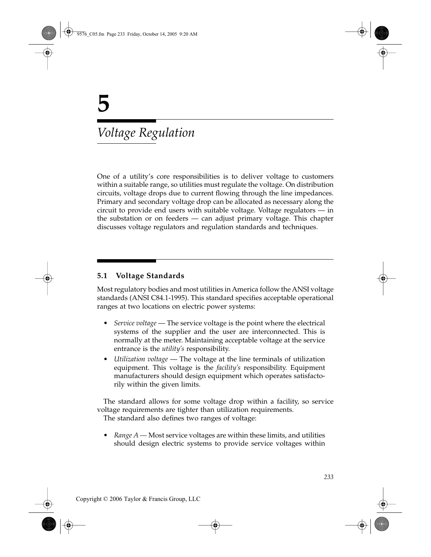# *Voltage Regulation*

One of a utility's core responsibilities is to deliver voltage to customers within a suitable range, so utilities must regulate the voltage. On distribution circuits, voltage drops due to current flowing through the line impedances. Primary and secondary voltage drop can be allocated as necessary along the circuit to provide end users with suitable voltage. Voltage regulators — in the substation or on feeders — can adjust primary voltage. This chapter discusses voltage regulators and regulation standards and techniques.

## **5.1 Voltage Standards**

Most regulatory bodies and most utilities in America follow the ANSI voltage standards (ANSI C84.1-1995). This standard specifies acceptable operational ranges at two locations on electric power systems:

- *Service voltage* The service voltage is the point where the electrical systems of the supplier and the user are interconnected. This is normally at the meter. Maintaining acceptable voltage at the service entrance is the *utility's* responsibility.
- *Utilization voltage* The voltage at the line terminals of utilization equipment. This voltage is the *facility's* responsibility. Equipment manufacturers should design equipment which operates satisfactorily within the given limits.

The standard allows for some voltage drop within a facility, so service voltage requirements are tighter than utilization requirements.

The standard also defines two ranges of voltage:

• *Range A* — Most service voltages are within these limits, and utilities should design electric systems to provide service voltages within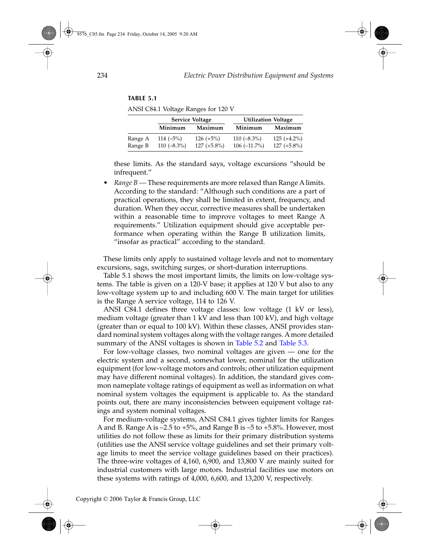|         | <b>Service Voltage</b> |                | <b>Utilization Voltage</b> |                |  |
|---------|------------------------|----------------|----------------------------|----------------|--|
|         | Minimum                | Maximum        | Minimum                    | Maximum        |  |
| Range A | 114 $(-5%)$            | $126 (+5\%)$   | 110 $(-8.3\%)$             | $125 (+4.2\%)$ |  |
| Range B | 110 $(-8.3\%)$         | $127 (+5.8\%)$ | $106(-11.7\%)$             | $127 (+5.8\%)$ |  |

#### **TABLE 5.1** ANSI C84.1 Voltage Ranges for 120 V

these limits. As the standard says, voltage excursions "should be infrequent."

• *Range B* — These requirements are more relaxed than Range A limits. According to the standard: "Although such conditions are a part of practical operations, they shall be limited in extent, frequency, and duration. When they occur, corrective measures shall be undertaken within a reasonable time to improve voltages to meet Range A requirements." Utilization equipment should give acceptable performance when operating within the Range B utilization limits, "insofar as practical" according to the standard.

These limits only apply to sustained voltage levels and not to momentary excursions, sags, switching surges, or short-duration interruptions.

Table 5.1 shows the most important limits, the limits on low-voltage systems. The table is given on a 120-V base; it applies at 120 V but also to any low-voltage system up to and including 600 V. The main target for utilities is the Range A service voltage, 114 to 126 V.

ANSI C84.1 defines three voltage classes: low voltage (1 kV or less), medium voltage (greater than 1 kV and less than 100 kV), and high voltage (greater than or equal to 100 kV). Within these classes, ANSI provides standard nominal system voltages along with the voltage ranges. Amore detailed summary of the ANSI voltages is shown in [Table 5.2](#page-2-0) and [Table 5.3.](#page-3-0)

For low-voltage classes, two nominal voltages are given — one for the electric system and a second, somewhat lower, nominal for the utilization equipment (for low-voltage motors and controls; other utilization equipment may have different nominal voltages). In addition, the standard gives common nameplate voltage ratings of equipment as well as information on what nominal system voltages the equipment is applicable to. As the standard points out, there are many inconsistencies between equipment voltage ratings and system nominal voltages.

For medium-voltage systems, ANSI C84.1 gives tighter limits for Ranges A and B. Range A is –2.5 to +5%, and Range B is –5 to +5.8%. However, most utilities do not follow these as limits for their primary distribution systems (utilities use the ANSI service voltage guidelines and set their primary voltage limits to meet the service voltage guidelines based on their practices). The three-wire voltages of 4,160, 6,900, and 13,800 V are mainly suited for industrial customers with large motors. Industrial facilities use motors on these systems with ratings of 4,000, 6,600, and 13,200 V, respectively.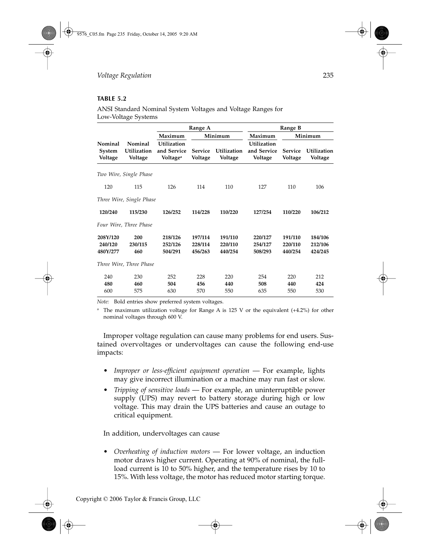## <span id="page-2-0"></span>**TABLE 5.2**

ANSI Standard Nominal System Voltages and Voltage Ranges for Low-Voltage Systems

|                                                                   |                          | Range A                                                          |                               |                               | Range B                                      |                               |                               |
|-------------------------------------------------------------------|--------------------------|------------------------------------------------------------------|-------------------------------|-------------------------------|----------------------------------------------|-------------------------------|-------------------------------|
|                                                                   |                          | Maximum                                                          |                               | Minimum                       | Maximum                                      |                               | Minimum                       |
| Nominal<br>Nominal<br>Utilization<br>System<br>Voltage<br>Voltage |                          | <b>Utilization</b><br>and Service<br><b>Voltage</b> <sup>a</sup> | <b>Service</b><br>Voltage     | <b>Utilization</b><br>Voltage | <b>Utilization</b><br>and Service<br>Voltage | <b>Service</b><br>Voltage     | <b>Utilization</b><br>Voltage |
|                                                                   | Two Wire, Single Phase   |                                                                  |                               |                               |                                              |                               |                               |
| 120                                                               | 115                      | 126                                                              | 114                           | 110                           | 127                                          | 110                           | 106                           |
|                                                                   | Three Wire, Single Phase |                                                                  |                               |                               |                                              |                               |                               |
| 120/240                                                           | 115/230                  | 126/252                                                          | 114/228                       | 110/220                       | 127/254                                      | 110/220                       | 106/212                       |
|                                                                   | Four Wire, Three Phase   |                                                                  |                               |                               |                                              |                               |                               |
| 208Y/120<br>240/120<br>480Y/277                                   | 200<br>230/115<br>460    | 218/126<br>252/126<br>504/291                                    | 197/114<br>228/114<br>456/263 | 191/110<br>220/110<br>440/254 | 220/127<br>254/127<br>508/293                | 191/110<br>220/110<br>440/254 | 184/106<br>212/106<br>424/245 |
|                                                                   | Three Wire, Three Phase  |                                                                  |                               |                               |                                              |                               |                               |
| 240<br>480<br>600                                                 | 230<br>460<br>575        | 252<br>504<br>630                                                | 228<br>456<br>570             | 220<br>440<br>550             | 254<br>508<br>635                            | 220<br>440<br>550             | 212<br>424<br>530             |

*Note:* Bold entries show preferred system voltages.

 $\alpha$  The maximum utilization voltage for Range A is 125 V or the equivalent (+4.2%) for other nominal voltages through 600 V.

Improper voltage regulation can cause many problems for end users. Sustained overvoltages or undervoltages can cause the following end-use impacts:

- *Improper or less-efficient equipment operation* For example, lights may give incorrect illumination or a machine may run fast or slow.
- *Tripping of sensitive loads* For example, an uninterruptible power supply (UPS) may revert to battery storage during high or low voltage. This may drain the UPS batteries and cause an outage to critical equipment.

In addition, undervoltages can cause

• *Overheating of induction motors* — For lower voltage, an induction motor draws higher current. Operating at 90% of nominal, the fullload current is 10 to 50% higher, and the temperature rises by 10 to 15%. With less voltage, the motor has reduced motor starting torque.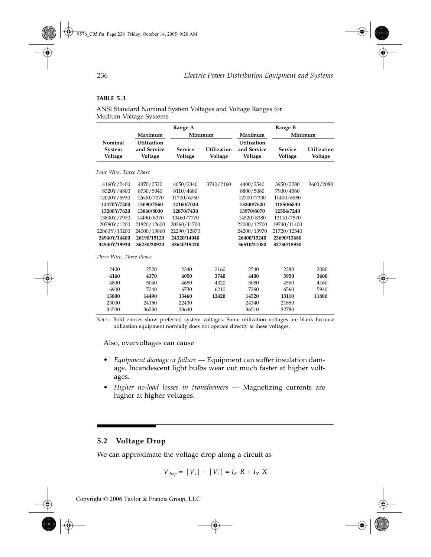|                              | Range A                                      |                                                            |           | Range B                                      |                           |                               |
|------------------------------|----------------------------------------------|------------------------------------------------------------|-----------|----------------------------------------------|---------------------------|-------------------------------|
|                              | Maximum                                      | Minimum                                                    |           | Maximum                                      | Minimum                   |                               |
| Nominal<br>System<br>Voltage | <b>Utilization</b><br>and Service<br>Voltage | <b>Service</b><br><b>Utilization</b><br>Voltage<br>Voltage |           | <b>Utilization</b><br>and Service<br>Voltage | <b>Service</b><br>Voltage | <b>Utilization</b><br>Voltage |
| Four Wire, Three Phase       |                                              |                                                            |           |                                              |                           |                               |
| 4160Y/2400                   | 4370/2520                                    | 4050/2340                                                  | 3740/2160 | 4400/2540                                    | 3950/2280                 | 3600/2080                     |
| 8320Y/4800                   | 8730/5040                                    | 8110/4680                                                  |           | 8800/5080                                    | 7900/4560                 |                               |
| 12000Y/6930                  | 12600/7270                                   | 11700/6760                                                 |           | 12700/7330                                   | 11400/6580                |                               |
| 12470Y/7200                  | 13090/7560                                   | 12160/7020                                                 |           | 13200/7620                                   | 11850/6840                |                               |
| 13200Y/7620                  | 13860/8000                                   | 12870/7430                                                 |           | 13970/8070                                   | 12504/7240                |                               |
| 13800Y/7970                  | 14490/8370                                   | 13460/7770                                                 |           | 14520/8380                                   | 13110/7570                |                               |
| 20780Y/1200                  | 21820/12600                                  | 20260/11700                                                |           | 22000/12700                                  | 19740/11400               |                               |
| 22860Y/13200                 | 24000/13860                                  | 22290/12870                                                |           | 24200/13970                                  | 21720/12540               |                               |
| 24940Y/14400                 | 26190/15120                                  | 24320/14040                                                |           | 26400/15240                                  | 23690/13680               |                               |
| 34500Y/19920                 | 36230/20920                                  | 33640/19420                                                |           | 36510/21080                                  | 32780/18930               |                               |
| Three Wire, Three Phase      |                                              |                                                            |           |                                              |                           |                               |
| 2400                         | 2520                                         | 2340                                                       | 2160      | 2540                                         | 2280                      | 2080                          |
| 4160                         | 4370                                         | 4050                                                       | 3740      | 4400                                         | 3950                      | 3600                          |
| 4800                         | 5040                                         | 4680                                                       | 4320      | 5080                                         | 4560                      | 4160                          |
| 6900                         | 7240                                         | 6730                                                       | 6210      | 7260                                         | 6560                      | 5940                          |
| 13800                        | 14490                                        | 13460                                                      | 12420     | 14520                                        | 13110                     | 11880                         |
| 23000                        | 24150                                        | 22430                                                      |           | 24340                                        | 21850                     |                               |
| 34500                        | 36230                                        | 33640                                                      |           | 36510                                        | 32780                     |                               |

#### <span id="page-3-0"></span>**TABLE 5.3**

ANSI Standard Nominal System Voltages and Voltage Ranges for Medium-Voltage Systems

*Notes:* Bold entries show preferred system voltages. Some utilization voltages are blank because utilization equipment normally does not operate directly at these voltages.

Also, overvoltages can cause

- *Equipment damage or failure* Equipment can suffer insulation damage. Incandescent light bulbs wear out much faster at higher voltages.
- *Higher no-load losses in transformers* Magnetizing currents are higher at higher voltages.

## **5.2 Voltage Drop**

We can approximate the voltage drop along a circuit as

$$
V_{drop} = |V_s| - |V_r| \approx I_R \cdot R + I_X \cdot X
$$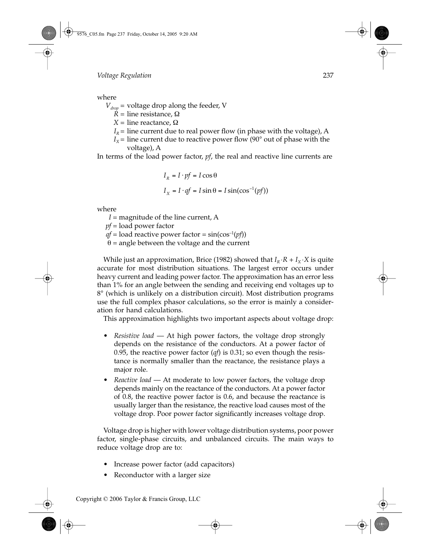## where

 $V_{drop}$  = voltage drop along the feeder, V

- $R =$  line resistance, Ω
- $X =$  line reactance,  $Ω$
- $I_R$  = line current due to real power flow (in phase with the voltage), A
- $I_X$  = line current due to reactive power flow (90 $\degree$  out of phase with the voltage), A

In terms of the load power factor, *pf*, the real and reactive line currents are

$$
I_R = I \cdot pf = I \cos \theta
$$
  

$$
I_X = I \cdot qf = I \sin \theta = I \sin(\cos^{-1}(pf))
$$

where

*I =* magnitude of the line current, A

- *pf* = load power factor
- $qf =$ load reactive power factor =  $sin(cos^{-1}(pf))$
- $\theta$  = angle between the voltage and the current

While just an approximation, Brice (1982) showed that  $I_R \cdot R + I_X \cdot X$  is quite accurate for most distribution situations. The largest error occurs under heavy current and leading power factor. The approximation has an error less than 1% for an angle between the sending and receiving end voltages up to 8° (which is unlikely on a distribution circuit). Most distribution programs use the full complex phasor calculations, so the error is mainly a consideration for hand calculations.

This approximation highlights two important aspects about voltage drop:

- *Resistive load* At high power factors, the voltage drop strongly depends on the resistance of the conductors. At a power factor of 0.95, the reactive power factor (*qf*) is 0.31; so even though the resistance is normally smaller than the reactance, the resistance plays a major role.
- *Reactive load* At moderate to low power factors, the voltage drop depends mainly on the reactance of the conductors. At a power factor of 0.8, the reactive power factor is 0.6, and because the reactance is usually larger than the resistance, the reactive load causes most of the voltage drop. Poor power factor significantly increases voltage drop.

Voltage drop is higher with lower voltage distribution systems, poor power factor, single-phase circuits, and unbalanced circuits. The main ways to reduce voltage drop are to:

- Increase power factor (add capacitors)
- Reconductor with a larger size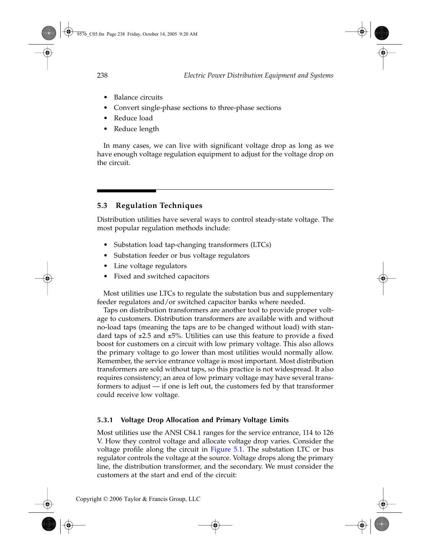- Balance circuits
- Convert single-phase sections to three-phase sections
- Reduce load
- Reduce length

In many cases, we can live with significant voltage drop as long as we have enough voltage regulation equipment to adjust for the voltage drop on the circuit.

# **5.3 Regulation Techniques**

Distribution utilities have several ways to control steady-state voltage. The most popular regulation methods include:

- Substation load tap-changing transformers (LTCs)
- Substation feeder or bus voltage regulators
- Line voltage regulators
- Fixed and switched capacitors

Most utilities use LTCs to regulate the substation bus and supplementary feeder regulators and/or switched capacitor banks where needed.

Taps on distribution transformers are another tool to provide proper voltage to customers. Distribution transformers are available with and without no-load taps (meaning the taps are to be changed without load) with standard taps of  $\pm 2.5$  and  $\pm 5\%$ . Utilities can use this feature to provide a fixed boost for customers on a circuit with low primary voltage. This also allows the primary voltage to go lower than most utilities would normally allow. Remember, the service entrance voltage is most important. Most distribution transformers are sold without taps, so this practice is not widespread. It also requires consistency; an area of low primary voltage may have several transformers to adjust — if one is left out, the customers fed by that transformer could receive low voltage.

## **5.3.1 Voltage Drop Allocation and Primary Voltage Limits**

Most utilities use the ANSI C84.1 ranges for the service entrance, 114 to 126 V. How they control voltage and allocate voltage drop varies. Consider the voltage profile along the circuit in [Figure 5.1.](#page-6-0) The substation LTC or bus regulator controls the voltage at the source. Voltage drops along the primary line, the distribution transformer, and the secondary. We must consider the customers at the start and end of the circuit: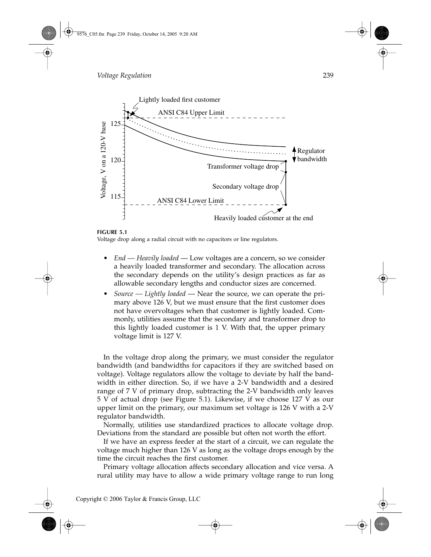<span id="page-6-0"></span>

**FIGURE 5.1**

Voltage drop along a radial circuit with no capacitors or line regulators.

- *End Heavily loaded* Low voltages are a concern, so we consider a heavily loaded transformer and secondary. The allocation across the secondary depends on the utility's design practices as far as allowable secondary lengths and conductor sizes are concerned.
- *Source Lightly loaded* Near the source, we can operate the primary above 126 V, but we must ensure that the first customer does not have overvoltages when that customer is lightly loaded. Commonly, utilities assume that the secondary and transformer drop to this lightly loaded customer is 1 V. With that, the upper primary voltage limit is 127 V.

In the voltage drop along the primary, we must consider the regulator bandwidth (and bandwidths for capacitors if they are switched based on voltage). Voltage regulators allow the voltage to deviate by half the bandwidth in either direction. So, if we have a 2-V bandwidth and a desired range of 7 V of primary drop, subtracting the 2-V bandwidth only leaves 5 V of actual drop (see Figure 5.1). Likewise, if we choose 127 V as our upper limit on the primary, our maximum set voltage is 126 V with a 2-V regulator bandwidth.

Normally, utilities use standardized practices to allocate voltage drop. Deviations from the standard are possible but often not worth the effort.

If we have an express feeder at the start of a circuit, we can regulate the voltage much higher than 126 V as long as the voltage drops enough by the time the circuit reaches the first customer.

Primary voltage allocation affects secondary allocation and vice versa. A rural utility may have to allow a wide primary voltage range to run long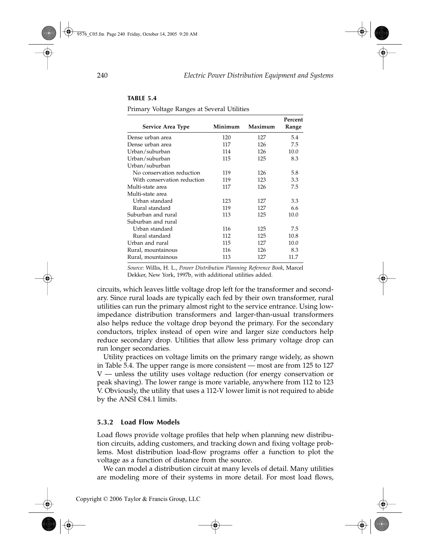| Service Area Type           | Minimum | Maximum | Percent<br>Range |
|-----------------------------|---------|---------|------------------|
| Dense urban area            | 120     | 127     | 5.4              |
| Dense urban area            | 117     | 126     | 7.5              |
| Urban/suburban              | 114     | 126     | 10.0             |
| Urban/suburban              | 115     | 125     | 8.3              |
| Urban/suburban              |         |         |                  |
| No conservation reduction   | 119     | 126     | 5.8              |
| With conservation reduction | 119     | 123     | 3.3              |
| Multi-state area            | 117     | 126     | 7.5              |
| Multi-state area            |         |         |                  |
| Urban standard              | 123     | 127     | 3.3              |
| Rural standard              | 119     | 127     | 6.6              |
| Suburban and rural          | 113     | 125     | 10.0             |
| Suburban and rural          |         |         |                  |
| Urban standard              | 116     | 125     | 7.5              |
| Rural standard              | 112     | 125     | 10.8             |
| Urban and rural             | 115     | 127     | 10.0             |
| Rural, mountainous          | 116     | 126     | 8.3              |
| Rural, mountainous          | 113     | 127     | 11.7             |

#### **TABLE 5.4**

Primary Voltage Ranges at Several Utilities

*Source:* Willis, H. L., *Power Distribution Planning Reference Book*, Marcel Dekker, New York, 1997b, with additional utilities added.

circuits, which leaves little voltage drop left for the transformer and secondary. Since rural loads are typically each fed by their own transformer, rural utilities can run the primary almost right to the service entrance. Using lowimpedance distribution transformers and larger-than-usual transformers also helps reduce the voltage drop beyond the primary. For the secondary conductors, triplex instead of open wire and larger size conductors help reduce secondary drop. Utilities that allow less primary voltage drop can run longer secondaries.

Utility practices on voltage limits on the primary range widely, as shown in Table 5.4. The upper range is more consistent — most are from 125 to 127 V — unless the utility uses voltage reduction (for energy conservation or peak shaving). The lower range is more variable, anywhere from 112 to 123 V. Obviously, the utility that uses a 112-V lower limit is not required to abide by the ANSI C84.1 limits.

#### **5.3.2 Load Flow Models**

Load flows provide voltage profiles that help when planning new distribution circuits, adding customers, and tracking down and fixing voltage problems. Most distribution load-flow programs offer a function to plot the voltage as a function of distance from the source.

We can model a distribution circuit at many levels of detail. Many utilities are modeling more of their systems in more detail. For most load flows,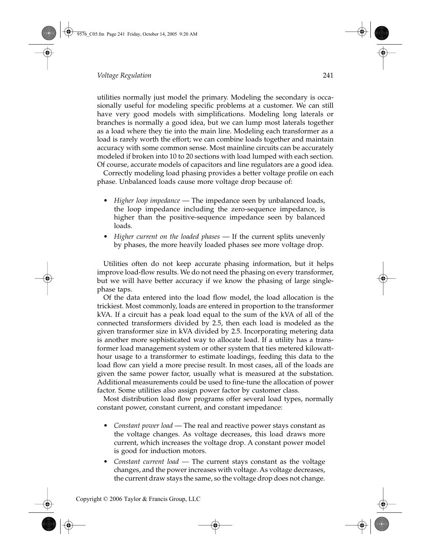utilities normally just model the primary. Modeling the secondary is occasionally useful for modeling specific problems at a customer. We can still have very good models with simplifications. Modeling long laterals or branches is normally a good idea, but we can lump most laterals together as a load where they tie into the main line. Modeling each transformer as a load is rarely worth the effort; we can combine loads together and maintain accuracy with some common sense. Most mainline circuits can be accurately modeled if broken into 10 to 20 sections with load lumped with each section. Of course, accurate models of capacitors and line regulators are a good idea.

Correctly modeling load phasing provides a better voltage profile on each phase. Unbalanced loads cause more voltage drop because of:

- *Higher loop impedance* The impedance seen by unbalanced loads, the loop impedance including the zero-sequence impedance, is higher than the positive-sequence impedance seen by balanced loads.
- *Higher current on the loaded phases* If the current splits unevenly by phases, the more heavily loaded phases see more voltage drop.

Utilities often do not keep accurate phasing information, but it helps improve load-flow results. We do not need the phasing on every transformer, but we will have better accuracy if we know the phasing of large singlephase taps.

Of the data entered into the load flow model, the load allocation is the trickiest. Most commonly, loads are entered in proportion to the transformer kVA. If a circuit has a peak load equal to the sum of the kVA of all of the connected transformers divided by 2.5, then each load is modeled as the given transformer size in kVA divided by 2.5. Incorporating metering data is another more sophisticated way to allocate load. If a utility has a transformer load management system or other system that ties metered kilowatthour usage to a transformer to estimate loadings, feeding this data to the load flow can yield a more precise result. In most cases, all of the loads are given the same power factor, usually what is measured at the substation. Additional measurements could be used to fine-tune the allocation of power factor. Some utilities also assign power factor by customer class.

Most distribution load flow programs offer several load types, normally constant power, constant current, and constant impedance:

- *Constant power load* The real and reactive power stays constant as the voltage changes. As voltage decreases, this load draws more current, which increases the voltage drop. A constant power model is good for induction motors.
- *Constant current load* The current stays constant as the voltage changes, and the power increases with voltage. As voltage decreases, the current draw stays the same, so the voltage drop does not change.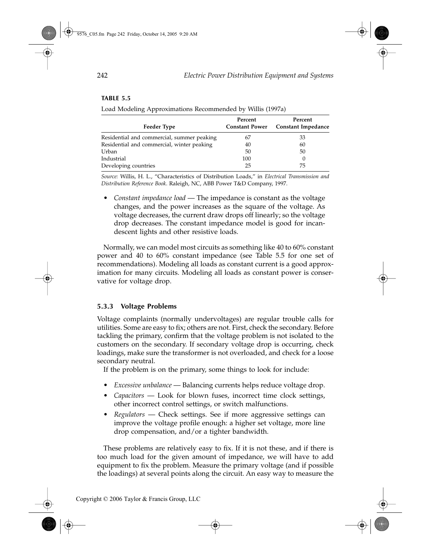| Feeder Type                                | Percent<br><b>Constant Power</b> | Percent<br><b>Constant Impedance</b> |
|--------------------------------------------|----------------------------------|--------------------------------------|
| Residential and commercial, summer peaking | 67                               | 33                                   |
| Residential and commercial, winter peaking | 40                               | 60                                   |
| Urban                                      | 50                               | 50                                   |
| Industrial                                 | 100                              | 0                                    |
| Developing countries                       | 25                               | 75                                   |

### **TABLE 5.5**

Load Modeling Approximations Recommended by Willis (1997a)

*Source:* Willis, H. L., "Characteristics of Distribution Loads," in *Electrical Transmission and Distribution Reference Book*. Raleigh, NC, ABB Power T&D Company, 1997.

• *Constant impedance load* — The impedance is constant as the voltage changes, and the power increases as the square of the voltage. As voltage decreases, the current draw drops off linearly; so the voltage drop decreases. The constant impedance model is good for incandescent lights and other resistive loads.

Normally, we can model most circuits as something like 40 to 60% constant power and 40 to 60% constant impedance (see Table 5.5 for one set of recommendations). Modeling all loads as constant current is a good approximation for many circuits. Modeling all loads as constant power is conservative for voltage drop.

## **5.3.3 Voltage Problems**

Voltage complaints (normally undervoltages) are regular trouble calls for utilities. Some are easy to fix; others are not. First, check the secondary. Before tackling the primary, confirm that the voltage problem is not isolated to the customers on the secondary. If secondary voltage drop is occurring, check loadings, make sure the transformer is not overloaded, and check for a loose secondary neutral.

If the problem is on the primary, some things to look for include:

- *Excessive unbalance* Balancing currents helps reduce voltage drop.
- *Capacitors* Look for blown fuses, incorrect time clock settings, other incorrect control settings, or switch malfunctions.
- *Regulators* Check settings. See if more aggressive settings can improve the voltage profile enough: a higher set voltage, more line drop compensation, and/or a tighter bandwidth.

These problems are relatively easy to fix. If it is not these, and if there is too much load for the given amount of impedance, we will have to add equipment to fix the problem. Measure the primary voltage (and if possible the loadings) at several points along the circuit. An easy way to measure the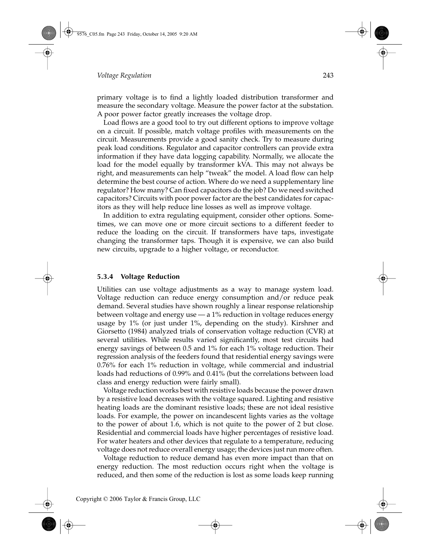primary voltage is to find a lightly loaded distribution transformer and measure the secondary voltage. Measure the power factor at the substation. A poor power factor greatly increases the voltage drop.

Load flows are a good tool to try out different options to improve voltage on a circuit. If possible, match voltage profiles with measurements on the circuit. Measurements provide a good sanity check. Try to measure during peak load conditions. Regulator and capacitor controllers can provide extra information if they have data logging capability. Normally, we allocate the load for the model equally by transformer kVA. This may not always be right, and measurements can help "tweak" the model. A load flow can help determine the best course of action. Where do we need a supplementary line regulator? How many? Can fixed capacitors do the job? Do we need switched capacitors? Circuits with poor power factor are the best candidates for capacitors as they will help reduce line losses as well as improve voltage.

In addition to extra regulating equipment, consider other options. Sometimes, we can move one or more circuit sections to a different feeder to reduce the loading on the circuit. If transformers have taps, investigate changing the transformer taps. Though it is expensive, we can also build new circuits, upgrade to a higher voltage, or reconductor.

#### **5.3.4 Voltage Reduction**

Utilities can use voltage adjustments as a way to manage system load. Voltage reduction can reduce energy consumption and/or reduce peak demand. Several studies have shown roughly a linear response relationship between voltage and energy use — a 1% reduction in voltage reduces energy usage by 1% (or just under 1%, depending on the study). Kirshner and Giorsetto (1984) analyzed trials of conservation voltage reduction (CVR) at several utilities. While results varied significantly, most test circuits had energy savings of between 0.5 and 1% for each 1% voltage reduction. Their regression analysis of the feeders found that residential energy savings were 0.76% for each 1% reduction in voltage, while commercial and industrial loads had reductions of 0.99% and 0.41% (but the correlations between load class and energy reduction were fairly small).

Voltage reduction works best with resistive loads because the power drawn by a resistive load decreases with the voltage squared. Lighting and resistive heating loads are the dominant resistive loads; these are not ideal resistive loads. For example, the power on incandescent lights varies as the voltage to the power of about 1.6, which is not quite to the power of 2 but close. Residential and commercial loads have higher percentages of resistive load. For water heaters and other devices that regulate to a temperature, reducing voltage does not reduce overall energy usage; the devices just run more often.

Voltage reduction to reduce demand has even more impact than that on energy reduction. The most reduction occurs right when the voltage is reduced, and then some of the reduction is lost as some loads keep running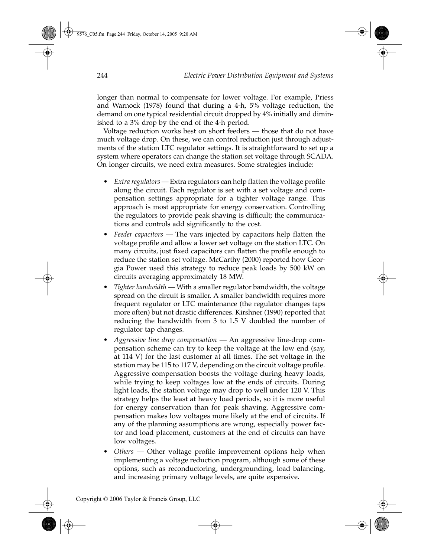longer than normal to compensate for lower voltage. For example, Priess and Warnock (1978) found that during a 4-h, 5% voltage reduction, the demand on one typical residential circuit dropped by 4% initially and diminished to a 3% drop by the end of the 4-h period.

Voltage reduction works best on short feeders — those that do not have much voltage drop. On these, we can control reduction just through adjustments of the station LTC regulator settings. It is straightforward to set up a system where operators can change the station set voltage through SCADA. On longer circuits, we need extra measures. Some strategies include:

- *Extra regulators* Extra regulators can help flatten the voltage profile along the circuit. Each regulator is set with a set voltage and compensation settings appropriate for a tighter voltage range. This approach is most appropriate for energy conservation. Controlling the regulators to provide peak shaving is difficult; the communications and controls add significantly to the cost.
- *Feeder capacitors* The vars injected by capacitors help flatten the voltage profile and allow a lower set voltage on the station LTC. On many circuits, just fixed capacitors can flatten the profile enough to reduce the station set voltage. McCarthy (2000) reported how Georgia Power used this strategy to reduce peak loads by 500 kW on circuits averaging approximately 18 MW.
- *Tighter bandwidth* With a smaller regulator bandwidth, the voltage spread on the circuit is smaller. A smaller bandwidth requires more frequent regulator or LTC maintenance (the regulator changes taps more often) but not drastic differences. Kirshner (1990) reported that reducing the bandwidth from 3 to 1.5 V doubled the number of regulator tap changes.
- *Aggressive line drop compensation* An aggressive line-drop compensation scheme can try to keep the voltage at the low end (say, at 114 V) for the last customer at all times. The set voltage in the station may be 115 to 117 V, depending on the circuit voltage profile. Aggressive compensation boosts the voltage during heavy loads, while trying to keep voltages low at the ends of circuits. During light loads, the station voltage may drop to well under 120 V. This strategy helps the least at heavy load periods, so it is more useful for energy conservation than for peak shaving. Aggressive compensation makes low voltages more likely at the end of circuits. If any of the planning assumptions are wrong, especially power factor and load placement, customers at the end of circuits can have low voltages.
- *Others* Other voltage profile improvement options help when implementing a voltage reduction program, although some of these options, such as reconductoring, undergrounding, load balancing, and increasing primary voltage levels, are quite expensive.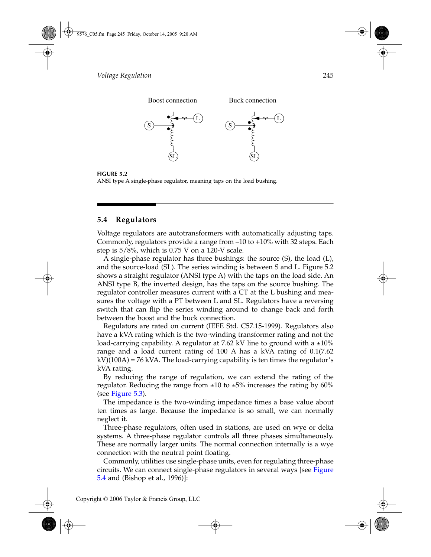

**FIGURE 5.2** ANSI type A single-phase regulator, meaning taps on the load bushing.

## **5.4 Regulators**

Voltage regulators are autotransformers with automatically adjusting taps. Commonly, regulators provide a range from –10 to +10% with 32 steps. Each step is 5/8%, which is 0.75 V on a 120-V scale.

A single-phase regulator has three bushings: the source (S), the load (L), and the source-load (SL). The series winding is between S and L. Figure 5.2 shows a straight regulator (ANSI type A) with the taps on the load side. An ANSI type B, the inverted design, has the taps on the source bushing. The regulator controller measures current with a CT at the L bushing and measures the voltage with a PT between L and SL. Regulators have a reversing switch that can flip the series winding around to change back and forth between the boost and the buck connection.

Regulators are rated on current (IEEE Std. C57.15-1999). Regulators also have a kVA rating which is the two-winding transformer rating and not the load-carrying capability. A regulator at 7.62 kV line to ground with a  $\pm 10\%$ range and a load current rating of 100 A has a kVA rating of 0.1(7.62  $kV(100A) = 76$  kVA. The load-carrying capability is ten times the regulator's kVA rating.

By reducing the range of regulation, we can extend the rating of the regulator. Reducing the range from  $\pm 10$  to  $\pm 5\%$  increases the rating by 60% (see [Figure 5.3](#page-13-0)).

The impedance is the two-winding impedance times a base value about ten times as large. Because the impedance is so small, we can normally neglect it.

Three-phase regulators, often used in stations, are used on wye or delta systems. A three-phase regulator controls all three phases simultaneously. These are normally larger units. The normal connection internally is a wye connection with the neutral point floating.

Commonly, utilities use single-phase units, even for regulating three-phase circuits. We can connect single-phase regulators in several ways [see [Figure](#page-13-0) [5.4 a](#page-13-0)nd (Bishop et al., 1996)]: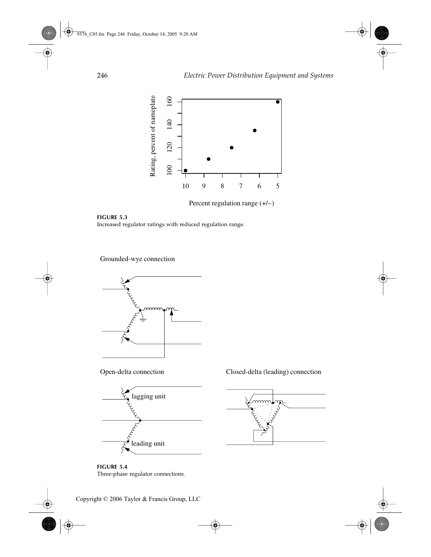<span id="page-13-0"></span>

Percent regulation range (+/–)



Grounded-wye connection





**FIGURE 5.4** Three-phase regulator connections.

Open-delta connection Closed-delta (leading) connection

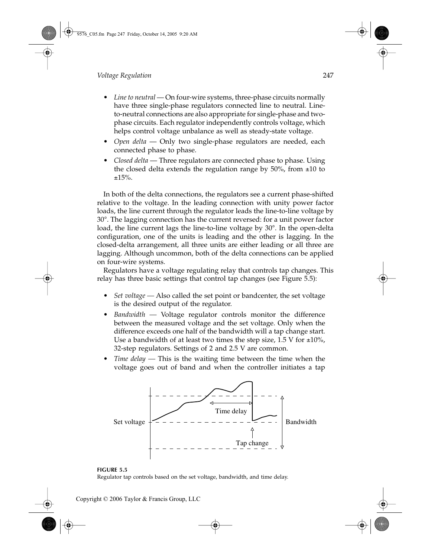- Line to neutral On four-wire systems, three-phase circuits normally have three single-phase regulators connected line to neutral. Lineto-neutral connections are also appropriate for single-phase and twophase circuits. Each regulator independently controls voltage, which helps control voltage unbalance as well as steady-state voltage.
- *Open delta* Only two single-phase regulators are needed, each connected phase to phase.
- *Closed delta* Three regulators are connected phase to phase. Using the closed delta extends the regulation range by  $50\%$ , from  $\pm 10$  to  $±15%$ .

In both of the delta connections, the regulators see a current phase-shifted relative to the voltage. In the leading connection with unity power factor loads, the line current through the regulator leads the line-to-line voltage by 30°. The lagging connection has the current reversed: for a unit power factor load, the line current lags the line-to-line voltage by 30°. In the open-delta configuration, one of the units is leading and the other is lagging. In the closed-delta arrangement, all three units are either leading or all three are lagging. Although uncommon, both of the delta connections can be applied on four-wire systems.

Regulators have a voltage regulating relay that controls tap changes. This relay has three basic settings that control tap changes (see Figure 5.5):

- *Set voltage* Also called the set point or bandcenter, the set voltage is the desired output of the regulator.
- *Bandwidth* Voltage regulator controls monitor the difference between the measured voltage and the set voltage. Only when the difference exceeds one half of the bandwidth will a tap change start. Use a bandwidth of at least two times the step size,  $1.5 \text{ V}$  for  $\pm 10\%$ , 32-step regulators. Settings of 2 and 2.5 V are common.
- *Time delay* This is the waiting time between the time when the voltage goes out of band and when the controller initiates a tap



#### **FIGURE 5.5**

Regulator tap controls based on the set voltage, bandwidth, and time delay.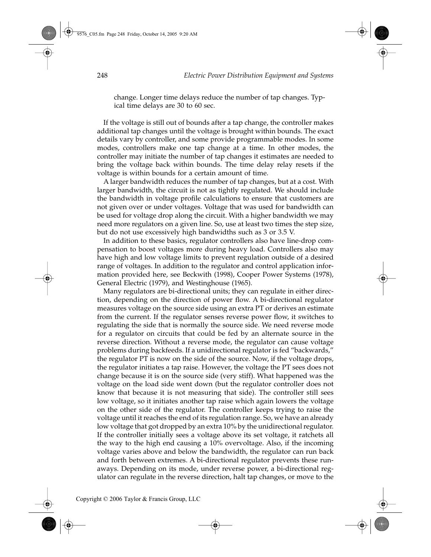change. Longer time delays reduce the number of tap changes. Typical time delays are 30 to 60 sec.

If the voltage is still out of bounds after a tap change, the controller makes additional tap changes until the voltage is brought within bounds. The exact details vary by controller, and some provide programmable modes. In some modes, controllers make one tap change at a time. In other modes, the controller may initiate the number of tap changes it estimates are needed to bring the voltage back within bounds. The time delay relay resets if the voltage is within bounds for a certain amount of time.

A larger bandwidth reduces the number of tap changes, but at a cost. With larger bandwidth, the circuit is not as tightly regulated. We should include the bandwidth in voltage profile calculations to ensure that customers are not given over or under voltages. Voltage that was used for bandwidth can be used for voltage drop along the circuit. With a higher bandwidth we may need more regulators on a given line. So, use at least two times the step size, but do not use excessively high bandwidths such as 3 or 3.5 V.

In addition to these basics, regulator controllers also have line-drop compensation to boost voltages more during heavy load. Controllers also may have high and low voltage limits to prevent regulation outside of a desired range of voltages. In addition to the regulator and control application information provided here, see Beckwith (1998), Cooper Power Systems (1978), General Electric (1979), and Westinghouse (1965).

Many regulators are bi-directional units; they can regulate in either direction, depending on the direction of power flow. A bi-directional regulator measures voltage on the source side using an extra PT or derives an estimate from the current. If the regulator senses reverse power flow, it switches to regulating the side that is normally the source side. We need reverse mode for a regulator on circuits that could be fed by an alternate source in the reverse direction. Without a reverse mode, the regulator can cause voltage problems during backfeeds. If a unidirectional regulator is fed "backwards," the regulator PT is now on the side of the source. Now, if the voltage drops, the regulator initiates a tap raise. However, the voltage the PT sees does not change because it is on the source side (very stiff). What happened was the voltage on the load side went down (but the regulator controller does not know that because it is not measuring that side). The controller still sees low voltage, so it initiates another tap raise which again lowers the voltage on the other side of the regulator. The controller keeps trying to raise the voltage until it reaches the end of its regulation range. So, we have an already low voltage that got dropped by an extra 10% by the unidirectional regulator. If the controller initially sees a voltage above its set voltage, it ratchets all the way to the high end causing a 10% overvoltage. Also, if the incoming voltage varies above and below the bandwidth, the regulator can run back and forth between extremes. A bi-directional regulator prevents these runaways. Depending on its mode, under reverse power, a bi-directional regulator can regulate in the reverse direction, halt tap changes, or move to the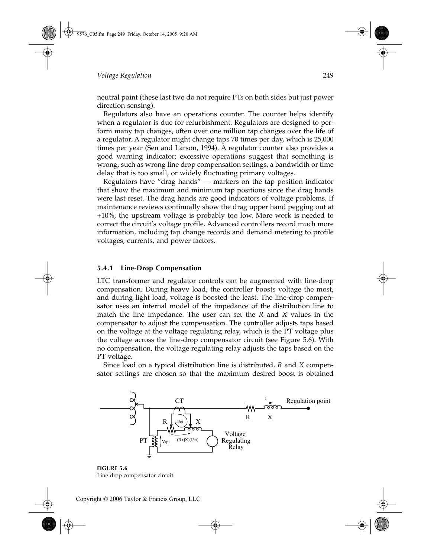neutral point (these last two do not require PTs on both sides but just power direction sensing).

Regulators also have an operations counter. The counter helps identify when a regulator is due for refurbishment. Regulators are designed to perform many tap changes, often over one million tap changes over the life of a regulator. A regulator might change taps 70 times per day, which is 25,000 times per year (Sen and Larson, 1994). A regulator counter also provides a good warning indicator; excessive operations suggest that something is wrong, such as wrong line drop compensation settings, a bandwidth or time delay that is too small, or widely fluctuating primary voltages.

Regulators have "drag hands" — markers on the tap position indicator that show the maximum and minimum tap positions since the drag hands were last reset. The drag hands are good indicators of voltage problems. If maintenance reviews continually show the drag upper hand pegging out at +10%, the upstream voltage is probably too low. More work is needed to correct the circuit's voltage profile. Advanced controllers record much more information, including tap change records and demand metering to profile voltages, currents, and power factors.

#### **5.4.1 Line-Drop Compensation**

LTC transformer and regulator controls can be augmented with line-drop compensation. During heavy load, the controller boosts voltage the most, and during light load, voltage is boosted the least. The line-drop compensator uses an internal model of the impedance of the distribution line to match the line impedance. The user can set the *R* and *X* values in the compensator to adjust the compensation. The controller adjusts taps based on the voltage at the voltage regulating relay, which is the PT voltage plus the voltage across the line-drop compensator circuit (see Figure 5.6). With no compensation, the voltage regulating relay adjusts the taps based on the PT voltage.

Since load on a typical distribution line is distributed, *R* and *X* compensator settings are chosen so that the maximum desired boost is obtained



**FIGURE 5.6** Line drop compensator circuit.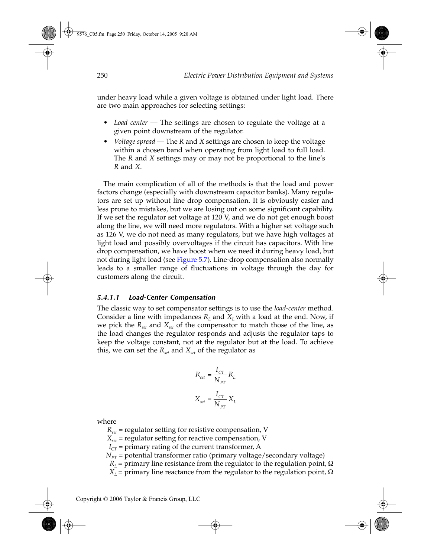under heavy load while a given voltage is obtained under light load. There are two main approaches for selecting settings:

- *Load center* The settings are chosen to regulate the voltage at a given point downstream of the regulator.
- *Voltage spread* The *R* and *X* settings are chosen to keep the voltage within a chosen band when operating from light load to full load. The *R* and *X* settings may or may not be proportional to the line's *R* and *X*.

The main complication of all of the methods is that the load and power factors change (especially with downstream capacitor banks). Many regulators are set up without line drop compensation. It is obviously easier and less prone to mistakes, but we are losing out on some significant capability. If we set the regulator set voltage at 120 V, and we do not get enough boost along the line, we will need more regulators. With a higher set voltage such as 126 V, we do not need as many regulators, but we have high voltages at light load and possibly overvoltages if the circuit has capacitors. With line drop compensation, we have boost when we need it during heavy load, but not during light load (see [Figure 5.7\)](#page-18-0). Line-drop compensation also normally leads to a smaller range of fluctuations in voltage through the day for customers along the circuit.

#### *5.4.1.1 Load-Center Compensation*

The classic way to set compensator settings is to use the *load-center* method. Consider a line with impedances  $R_L$  and  $X_L$  with a load at the end. Now, if we pick the *Rset* and *Xset* of the compensator to match those of the line, as the load changes the regulator responds and adjusts the regulator taps to keep the voltage constant, not at the regulator but at the load. To achieve this, we can set the  $R_{set}$  and  $X_{set}$  of the regulator as

$$
R_{set} = \frac{I_{CT}}{N_{PT}} R_L
$$
  

$$
X_{set} = \frac{I_{CT}}{N_{PT}} X_L
$$

where

 $R_{\mathcal{S}et}$  = regulator setting for resistive compensation, V  $X_{\mathcal{S}_{\mathcal{C}}t}$  = regulator setting for reactive compensation, V  $I_{CT}$  = primary rating of the current transformer, A  $N_{PT}$  = potential transformer ratio (primary voltage/secondary voltage)  $R_L$  = primary line resistance from the regulator to the regulation point,  $\Omega$  $X<sub>l</sub>$  = primary line reactance from the regulator to the regulation point, Ω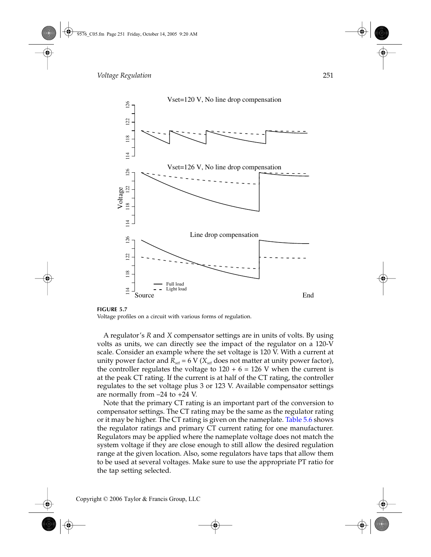<span id="page-18-0"></span>

#### **FIGURE 5.7**

Voltage profiles on a circuit with various forms of regulation.

A regulator's *R* and *X* compensator settings are in units of volts. By using volts as units, we can directly see the impact of the regulator on a 120-V scale. Consider an example where the set voltage is 120 V. With a current at unity power factor and  $R_{\text{set}} = 6 \text{ V } (X_{\text{set}})$  does not matter at unity power factor), the controller regulates the voltage to  $120 + 6 = 126$  V when the current is at the peak CT rating. If the current is at half of the CT rating, the controller regulates to the set voltage plus 3 or 123 V. Available compensator settings are normally from –24 to +24 V.

Note that the primary CT rating is an important part of the conversion to compensator settings. The CT rating may be the same as the regulator rating or it may be higher. The CT rating is given on the nameplate. [Table 5.6](#page-19-0) shows the regulator ratings and primary CT current rating for one manufacturer. Regulators may be applied where the nameplate voltage does not match the system voltage if they are close enough to still allow the desired regulation range at the given location. Also, some regulators have taps that allow them to be used at several voltages. Make sure to use the appropriate PT ratio for the tap setting selected.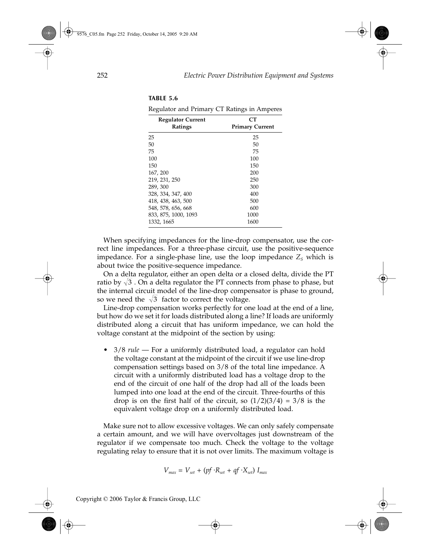| <b>Regulator Current</b><br>Ratings | CT<br><b>Primary Current</b> |
|-------------------------------------|------------------------------|
| 25                                  | 25                           |
| 50                                  | 50                           |
| 75                                  | 75                           |
| 100                                 | 100                          |
| 150                                 | 150                          |
| 167, 200                            | 200                          |
| 219, 231, 250                       | 250                          |
| 289, 300                            | 300                          |
| 328, 334, 347, 400                  | 400                          |
| 418, 438, 463, 500                  | 500                          |
| 548, 578, 656, 668                  | 600                          |
| 833, 875, 1000, 1093                | 1000                         |
| 1332, 1665                          | 1600                         |

<span id="page-19-0"></span>**TABLE 5.6**

Regulator and Primary CT Ratings in Amperes

When specifying impedances for the line-drop compensator, use the correct line impedances. For a three-phase circuit, use the positive-sequence impedance. For a single-phase line, use the loop impedance  $Z<sub>s</sub>$  which is about twice the positive-sequence impedance.

On a delta regulator, either an open delta or a closed delta, divide the PT ratio by  $\sqrt{3}$  . On a delta regulator the PT connects from phase to phase, but the internal circuit model of the line-drop compensator is phase to ground, so we need the  $\sqrt{3}$  factor to correct the voltage.

Line-drop compensation works perfectly for one load at the end of a line, but how do we set it for loads distributed along a line? If loads are uniformly distributed along a circuit that has uniform impedance, we can hold the voltage constant at the midpoint of the section by using:

• 3/8 *rule* — For a uniformly distributed load, a regulator can hold the voltage constant at the midpoint of the circuit if we use line-drop compensation settings based on 3/8 of the total line impedance. A circuit with a uniformly distributed load has a voltage drop to the end of the circuit of one half of the drop had all of the loads been lumped into one load at the end of the circuit. Three-fourths of this drop is on the first half of the circuit, so  $(1/2)(3/4) = 3/8$  is the equivalent voltage drop on a uniformly distributed load.

Make sure not to allow excessive voltages. We can only safely compensate a certain amount, and we will have overvoltages just downstream of the regulator if we compensate too much. Check the voltage to the voltage regulating relay to ensure that it is not over limits. The maximum voltage is

$$
V_{max} = V_{set} + (pf \cdot R_{set} + qf \cdot X_{set}) I_{max}
$$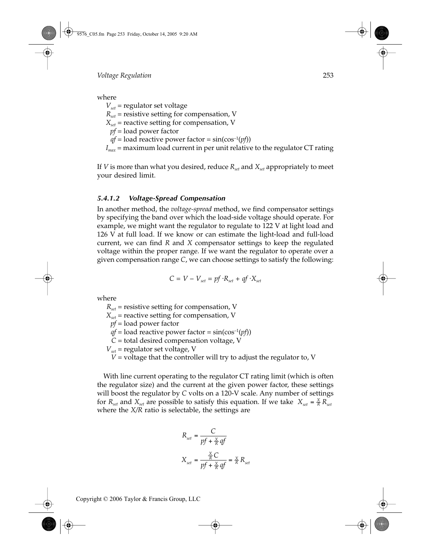where

*Vset* = regulator set voltage *Rset* = resistive setting for compensation, V *Xset* = reactive setting for compensation, V *pf* = load power factor  $qf =$ load reactive power factor =  $sin(cos^{-1}(pf))$ *Imax* = maximum load current in per unit relative to the regulator CT rating

If *V* is more than what you desired, reduce *Rset* and *Xset* appropriately to meet your desired limit.

## *5.4.1.2 Voltage-Spread Compensation*

In another method, the *voltage-spread* method, we find compensator settings by specifying the band over which the load-side voltage should operate. For example, we might want the regulator to regulate to 122 V at light load and 126 V at full load. If we know or can estimate the light-load and full-load current, we can find *R* and *X* compensator settings to keep the regulated voltage within the proper range. If we want the regulator to operate over a given compensation range *C*, we can choose settings to satisfy the following:

$$
C = V - V_{set} = pf \cdot R_{set} + qf \cdot X_{set}
$$

where

*Rset* = resistive setting for compensation, V  $X_{set}$  = reactive setting for compensation, V *pf* = load power factor  $qf =$ load reactive power factor =  $sin(cos^{-1}(pf))$ *C* = total desired compensation voltage, V  $V_{\mathcal{S}_{\mathcal{C}}t}$  = regulator set voltage, V  $V =$  voltage that the controller will try to adjust the regulator to,  $V$ 

With line current operating to the regulator CT rating limit (which is often the regulator size) and the current at the given power factor, these settings will boost the regulator by *C* volts on a 120-V scale. Any number of settings for  $R_{set}$  and  $X_{set}$  are possible to satisfy this equation. If we take  $X_{set} = \frac{X}{R} R_{set}$ where the *X/R* ratio is selectable, the settings are

$$
R_{set} = \frac{C}{pf + \frac{X}{R}qf}
$$

$$
X_{set} = \frac{\frac{X}{R}C}{pf + \frac{X}{R}qf} = \frac{X}{R}R_{set}
$$

Copyright © 2006 Taylor & Francis Group, LLC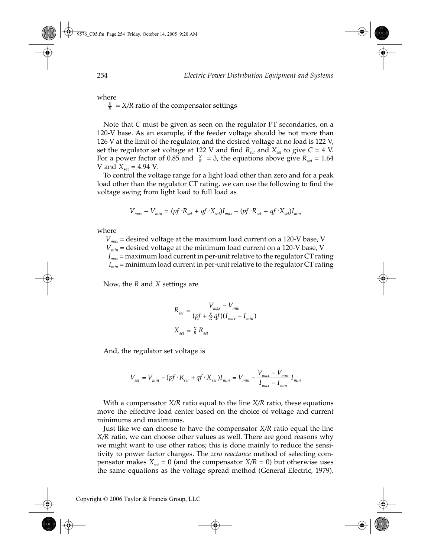where

 $\frac{X}{R}$  = *X*/*R* ratio of the compensator settings

Note that *C* must be given as seen on the regulator PT secondaries, on a 120-V base. As an example, if the feeder voltage should be not more than 126 V at the limit of the regulator, and the desired voltage at no load is 122 V, set the regulator set voltage at 122 V and find  $R_{set}$  and  $X_{set}$  to give  $C = 4$  V. For a power factor of 0.85 and  $\frac{X}{R} = 3$ , the equations above give  $R_{set} = 1.64$ *V* and  $X_{\text{set}} = 4.94$  *V*.

To control the voltage range for a light load other than zero and for a peak load other than the regulator CT rating, we can use the following to find the voltage swing from light load to full load as

$$
V_{max} - V_{min} = (pf \cdot R_{set} + qf \cdot X_{set})I_{max} - (pf \cdot R_{set} + qf \cdot X_{set})I_{min}
$$

where

*Vmax* = desired voltage at the maximum load current on a 120-V base, V  $V_{min}$  = desired voltage at the minimum load current on a 120-V base, V *Imax* = maximum load current in per-unit relative to the regulator CT rating *Imin* = minimum load current in per-unit relative to the regulator CT rating

Now, the *R* and *X* settings are

$$
R_{set} = \frac{V_{max} - V_{min}}{(pf + \frac{X}{R}qf)(I_{max} - I_{min})}
$$

$$
X_{set} = \frac{X}{R}R_{set}
$$

And, the regulator set voltage is

$$
V_{set} = V_{min} - (pf \cdot R_{set} + qf \cdot X_{set}) I_{min} = V_{min} - \frac{V_{max} - V_{min}}{I_{max} - I_{min}} I_{min}
$$

With a compensator *X/R* ratio equal to the line *X/R* ratio, these equations move the effective load center based on the choice of voltage and current minimums and maximums.

Just like we can choose to have the compensator *X/R* ratio equal the line *X/R* ratio, we can choose other values as well. There are good reasons why we might want to use other ratios; this is done mainly to reduce the sensitivity to power factor changes. The *zero reactance* method of selecting compensator makes  $X_{set} = 0$  (and the compensator  $X/R = 0$ ) but otherwise uses the same equations as the voltage spread method (General Electric, 1979).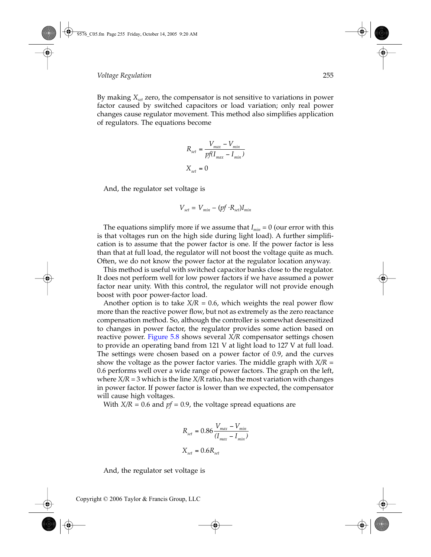By making *Xset* zero, the compensator is not sensitive to variations in power factor caused by switched capacitors or load variation; only real power changes cause regulator movement. This method also simplifies application of regulators. The equations become

$$
R_{set} = \frac{V_{max} - V_{min}}{pf(I_{max} - I_{min})}
$$

$$
X_{set} = 0
$$

And, the regulator set voltage is

$$
V_{set} = V_{min} - (pf \cdot R_{set}) I_{min}
$$

The equations simplify more if we assume that  $I_{min} = 0$  (our error with this is that voltages run on the high side during light load). A further simplification is to assume that the power factor is one. If the power factor is less than that at full load, the regulator will not boost the voltage quite as much. Often, we do not know the power factor at the regulator location anyway.

This method is useful with switched capacitor banks close to the regulator. It does not perform well for low power factors if we have assumed a power factor near unity. With this control, the regulator will not provide enough boost with poor power-factor load.

Another option is to take  $X/R = 0.6$ , which weights the real power flow more than the reactive power flow, but not as extremely as the zero reactance compensation method. So, although the controller is somewhat desensitized to changes in power factor, the regulator provides some action based on reactive power. [Figure 5.8](#page-23-0) shows several *X/R* compensator settings chosen to provide an operating band from 121 V at light load to 127 V at full load. The settings were chosen based on a power factor of 0.9, and the curves show the voltage as the power factor varies. The middle graph with *X/R* = 0.6 performs well over a wide range of power factors. The graph on the left, where *X/R* = 3 which is the line *X/R* ratio, has the most variation with changes in power factor. If power factor is lower than we expected, the compensator will cause high voltages.

With *X/R* = 0.6 and *pf* = 0.9, the voltage spread equations are

$$
R_{set} = 0.86 \frac{V_{max} - V_{min}}{(I_{max} - I_{min})}
$$

$$
X_{set} = 0.6 R_{set}
$$

And, the regulator set voltage is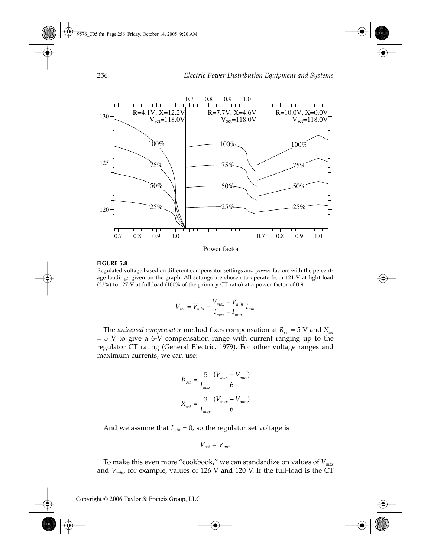<span id="page-23-0"></span>

**FIGURE 5.8** Regulated voltage based on different compensator settings and power factors with the percent-



$$
V_{set} = V_{min} - \frac{V_{max} - V_{min}}{I_{max} - I_{min}} I_{min}
$$

The *universal compensator* method fixes compensation at  $R_{\text{sat}} = 5$  V and  $X_{\text{sat}}$  $= 3$  V to give a 6-V compensation range with current ranging up to the regulator CT rating (General Electric, 1979). For other voltage ranges and maximum currents, we can use:

$$
R_{set} = \frac{5}{I_{max}} \frac{(V_{max} - V_{min})}{6}
$$

$$
X_{set} = \frac{3}{I_{max}} \frac{(V_{max} - V_{min})}{6}
$$

And we assume that  $I_{min} = 0$ , so the regulator set voltage is

$$
V_{set} = V_{min}
$$

To make this even more "cookbook," we can standardize on values of *Vmax* and *Vmin*, for example, values of 126 V and 120 V. If the full-load is the CT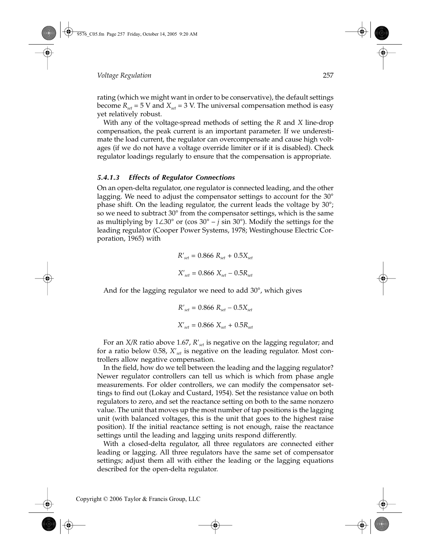rating (which we might want in order to be conservative), the default settings become  $R_{set} = 5$  V and  $X_{set} = 3$  V. The universal compensation method is easy yet relatively robust.

With any of the voltage-spread methods of setting the *R* and *X* line-drop compensation, the peak current is an important parameter. If we underestimate the load current, the regulator can overcompensate and cause high voltages (if we do not have a voltage override limiter or if it is disabled). Check regulator loadings regularly to ensure that the compensation is appropriate.

#### *5.4.1.3 Effects of Regulator Connections*

On an open-delta regulator, one regulator is connected leading, and the other lagging. We need to adjust the compensator settings to account for the 30° phase shift. On the leading regulator, the current leads the voltage by 30°; so we need to subtract 30° from the compensator settings, which is the same as multiplying by 1∠30° or (cos 30° – *j* sin 30°). Modify the settings for the leading regulator (Cooper Power Systems, 1978; Westinghouse Electric Corporation, 1965) with

$$
R'_{set} = 0.866 R_{set} + 0.5X_{set}
$$
  

$$
X'_{set} = 0.866 X_{set} - 0.5R_{set}
$$

And for the lagging regulator we need to add 30°, which gives

$$
R'_{set} = 0.866 R_{set} - 0.5X_{set}
$$
  

$$
X'_{set} = 0.866 X_{set} + 0.5R_{set}
$$

For an *X/R* ratio above 1.67, *R*′*set* is negative on the lagging regulator; and for a ratio below 0.58, *X*′*set* is negative on the leading regulator. Most controllers allow negative compensation.

In the field, how do we tell between the leading and the lagging regulator? Newer regulator controllers can tell us which is which from phase angle measurements. For older controllers, we can modify the compensator settings to find out (Lokay and Custard, 1954). Set the resistance value on both regulators to zero, and set the reactance setting on both to the same nonzero value. The unit that moves up the most number of tap positions is the lagging unit (with balanced voltages, this is the unit that goes to the highest raise position). If the initial reactance setting is not enough, raise the reactance settings until the leading and lagging units respond differently.

With a closed-delta regulator, all three regulators are connected either leading or lagging. All three regulators have the same set of compensator settings; adjust them all with either the leading or the lagging equations described for the open-delta regulator.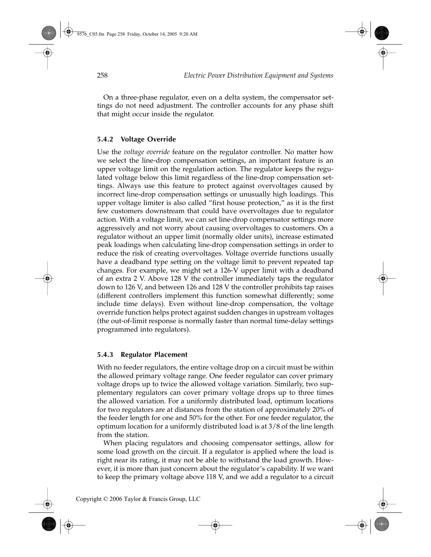On a three-phase regulator, even on a delta system, the compensator settings do not need adjustment. The controller accounts for any phase shift that might occur inside the regulator.

#### **5.4.2 Voltage Override**

Use the *voltage override* feature on the regulator controller. No matter how we select the line-drop compensation settings, an important feature is an upper voltage limit on the regulation action. The regulator keeps the regulated voltage below this limit regardless of the line-drop compensation settings. Always use this feature to protect against overvoltages caused by incorrect line-drop compensation settings or unusually high loadings. This upper voltage limiter is also called "first house protection," as it is the first few customers downstream that could have overvoltages due to regulator action. With a voltage limit, we can set line-drop compensator settings more aggressively and not worry about causing overvoltages to customers. On a regulator without an upper limit (normally older units), increase estimated peak loadings when calculating line-drop compensation settings in order to reduce the risk of creating overvoltages. Voltage override functions usually have a deadband type setting on the voltage limit to prevent repeated tap changes. For example, we might set a 126-V upper limit with a deadband of an extra 2 V. Above 128 V the controller immediately taps the regulator down to 126 V, and between 126 and 128 V the controller prohibits tap raises (different controllers implement this function somewhat differently; some include time delays). Even without line-drop compensation, the voltage override function helps protect against sudden changes in upstream voltages (the out-of-limit response is normally faster than normal time-delay settings programmed into regulators).

#### **5.4.3 Regulator Placement**

With no feeder regulators, the entire voltage drop on a circuit must be within the allowed primary voltage range. One feeder regulator can cover primary voltage drops up to twice the allowed voltage variation. Similarly, two supplementary regulators can cover primary voltage drops up to three times the allowed variation. For a uniformly distributed load, optimum locations for two regulators are at distances from the station of approximately 20% of the feeder length for one and 50% for the other. For one feeder regulator, the optimum location for a uniformly distributed load is at 3/8 of the line length from the station.

When placing regulators and choosing compensator settings, allow for some load growth on the circuit. If a regulator is applied where the load is right near its rating, it may not be able to withstand the load growth. However, it is more than just concern about the regulator's capability. If we want to keep the primary voltage above 118 V, and we add a regulator to a circuit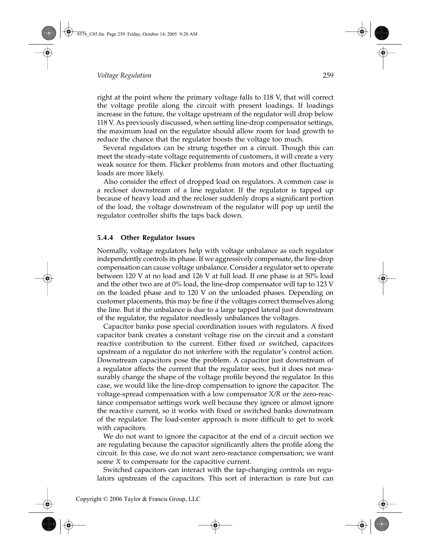right at the point where the primary voltage falls to 118 V, that will correct the voltage profile along the circuit with present loadings. If loadings increase in the future, the voltage upstream of the regulator will drop below 118 V. As previously discussed, when setting line-drop compensator settings, the maximum load on the regulator should allow room for load growth to reduce the chance that the regulator boosts the voltage too much.

Several regulators can be strung together on a circuit. Though this can meet the steady-state voltage requirements of customers, it will create a very weak source for them. Flicker problems from motors and other fluctuating loads are more likely.

Also consider the effect of dropped load on regulators. A common case is a recloser downstream of a line regulator. If the regulator is tapped up because of heavy load and the recloser suddenly drops a significant portion of the load, the voltage downstream of the regulator will pop up until the regulator controller shifts the taps back down.

#### **5.4.4 Other Regulator Issues**

Normally, voltage regulators help with voltage unbalance as each regulator independently controls its phase. If we aggressively compensate, the line-drop compensation can cause voltage unbalance. Consider a regulator set to operate between 120 V at no load and 126 V at full load. If one phase is at 50% load and the other two are at 0% load, the line-drop compensator will tap to 123 V on the loaded phase and to 120 V on the unloaded phases. Depending on customer placements, this may be fine if the voltages correct themselves along the line. But if the unbalance is due to a large tapped lateral just downstream of the regulator, the regulator needlessly unbalances the voltages.

Capacitor banks pose special coordination issues with regulators. A fixed capacitor bank creates a constant voltage rise on the circuit and a constant reactive contribution to the current. Either fixed or switched, capacitors upstream of a regulator do not interfere with the regulator's control action. Downstream capacitors pose the problem. A capacitor just downstream of a regulator affects the current that the regulator sees, but it does not measurably change the shape of the voltage profile beyond the regulator. In this case, we would like the line-drop compensation to ignore the capacitor. The voltage-spread compensation with a low compensator *X/R* or the zero-reactance compensator settings work well because they ignore or almost ignore the reactive current, so it works with fixed or switched banks downstream of the regulator. The load-center approach is more difficult to get to work with capacitors.

We do not want to ignore the capacitor at the end of a circuit section we are regulating because the capacitor significantly alters the profile along the circuit. In this case, we do not want zero-reactance compensation; we want some *X* to compensate for the capacitive current.

Switched capacitors can interact with the tap-changing controls on regulators upstream of the capacitors. This sort of interaction is rare but can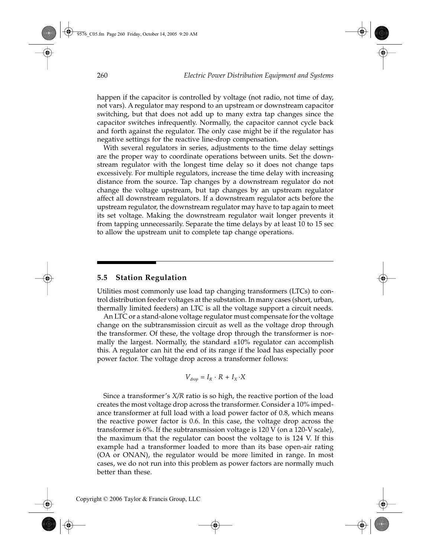happen if the capacitor is controlled by voltage (not radio, not time of day, not vars). A regulator may respond to an upstream or downstream capacitor switching, but that does not add up to many extra tap changes since the capacitor switches infrequently. Normally, the capacitor cannot cycle back and forth against the regulator. The only case might be if the regulator has negative settings for the reactive line-drop compensation.

With several regulators in series, adjustments to the time delay settings are the proper way to coordinate operations between units. Set the downstream regulator with the longest time delay so it does not change taps excessively. For multiple regulators, increase the time delay with increasing distance from the source. Tap changes by a downstream regulator do not change the voltage upstream, but tap changes by an upstream regulator affect all downstream regulators. If a downstream regulator acts before the upstream regulator, the downstream regulator may have to tap again to meet its set voltage. Making the downstream regulator wait longer prevents it from tapping unnecessarily. Separate the time delays by at least 10 to 15 sec to allow the upstream unit to complete tap change operations.

## **5.5 Station Regulation**

Utilities most commonly use load tap changing transformers (LTCs) to control distribution feeder voltages at the substation. In many cases (short, urban, thermally limited feeders) an LTC is all the voltage support a circuit needs.

An LTC or a stand-alone voltage regulator must compensate for the voltage change on the subtransmission circuit as well as the voltage drop through the transformer. Of these, the voltage drop through the transformer is normally the largest. Normally, the standard  $\pm 10\%$  regulator can accomplish this. A regulator can hit the end of its range if the load has especially poor power factor. The voltage drop across a transformer follows:

$$
V_{drop} = I_R \cdot R + I_X \cdot X
$$

Since a transformer's *X/R* ratio is so high, the reactive portion of the load creates the most voltage drop across the transformer. Consider a 10% impedance transformer at full load with a load power factor of 0.8, which means the reactive power factor is 0.6. In this case, the voltage drop across the transformer is 6%. If the subtransmission voltage is 120 V (on a 120-V scale), the maximum that the regulator can boost the voltage to is 124 V. If this example had a transformer loaded to more than its base open-air rating (OA or ONAN), the regulator would be more limited in range. In most cases, we do not run into this problem as power factors are normally much better than these.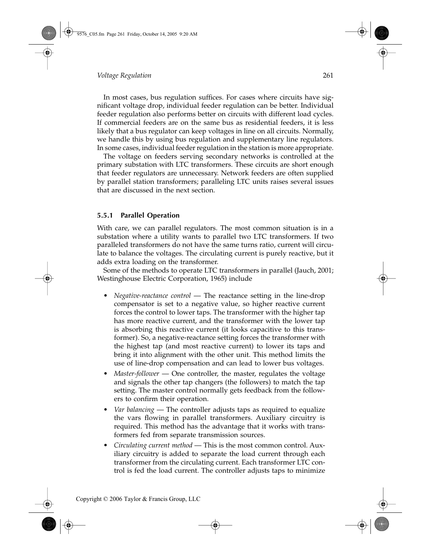In most cases, bus regulation suffices. For cases where circuits have significant voltage drop, individual feeder regulation can be better. Individual feeder regulation also performs better on circuits with different load cycles. If commercial feeders are on the same bus as residential feeders, it is less likely that a bus regulator can keep voltages in line on all circuits. Normally, we handle this by using bus regulation and supplementary line regulators. In some cases, individual feeder regulation in the station is more appropriate.

The voltage on feeders serving secondary networks is controlled at the primary substation with LTC transformers. These circuits are short enough that feeder regulators are unnecessary. Network feeders are often supplied by parallel station transformers; paralleling LTC units raises several issues that are discussed in the next section.

## **5.5.1 Parallel Operation**

With care, we can parallel regulators. The most common situation is in a substation where a utility wants to parallel two LTC transformers. If two paralleled transformers do not have the same turns ratio, current will circulate to balance the voltages. The circulating current is purely reactive, but it adds extra loading on the transformer.

Some of the methods to operate LTC transformers in parallel (Jauch, 2001; Westinghouse Electric Corporation, 1965) include

- *Negative-reactance control* The reactance setting in the line-drop compensator is set to a negative value, so higher reactive current forces the control to lower taps. The transformer with the higher tap has more reactive current, and the transformer with the lower tap is absorbing this reactive current (it looks capacitive to this transformer). So, a negative-reactance setting forces the transformer with the highest tap (and most reactive current) to lower its taps and bring it into alignment with the other unit. This method limits the use of line-drop compensation and can lead to lower bus voltages.
- *Master-follower* One controller, the master, regulates the voltage and signals the other tap changers (the followers) to match the tap setting. The master control normally gets feedback from the followers to confirm their operation.
- *Var balancing* The controller adjusts taps as required to equalize the vars flowing in parallel transformers. Auxiliary circuitry is required. This method has the advantage that it works with transformers fed from separate transmission sources.
- *Circulating current method* This is the most common control. Auxiliary circuitry is added to separate the load current through each transformer from the circulating current. Each transformer LTC control is fed the load current. The controller adjusts taps to minimize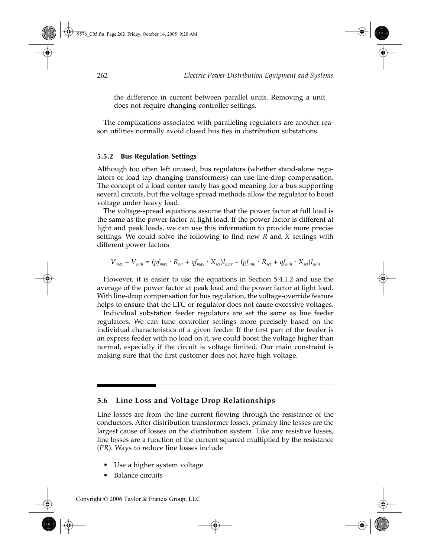the difference in current between parallel units. Removing a unit does not require changing controller settings.

The complications associated with paralleling regulators are another reason utilities normally avoid closed bus ties in distribution substations.

#### **5.5.2 Bus Regulation Settings**

Although too often left unused, bus regulators (whether stand-alone regulators or load tap changing transformers) can use line-drop compensation. The concept of a load center rarely has good meaning for a bus supporting several circuits, but the voltage spread methods allow the regulator to boost voltage under heavy load.

The voltage-spread equations assume that the power factor at full load is the same as the power factor at light load. If the power factor is different at light and peak loads, we can use this information to provide more precise settings. We could solve the following to find new *R* and *X* settings with different power factors

$$
V_{max} - V_{min} = (pf_{max} \cdot R_{set} + qf_{max} \cdot X_{set})I_{max} - (pf_{min} \cdot R_{set} + qf_{min} \cdot X_{set})I_{min}
$$

However, it is easier to use the equations in Section 5.4.1.2 and use the average of the power factor at peak load and the power factor at light load. With line-drop compensation for bus regulation, the voltage-override feature helps to ensure that the LTC or regulator does not cause excessive voltages.

Individual substation feeder regulators are set the same as line feeder regulators. We can tune controller settings more precisely based on the individual characteristics of a given feeder. If the first part of the feeder is an express feeder with no load on it, we could boost the voltage higher than normal, especially if the circuit is voltage limited. Our main constraint is making sure that the first customer does not have high voltage.

#### **5.6 Line Loss and Voltage Drop Relationships**

Line losses are from the line current flowing through the resistance of the conductors. After distribution transformer losses, primary line losses are the largest cause of losses on the distribution system. Like any resistive losses, line losses are a function of the current squared multiplied by the resistance (*I*<sup>2</sup>*R*). Ways to reduce line losses include

- Use a higher system voltage
- Balance circuits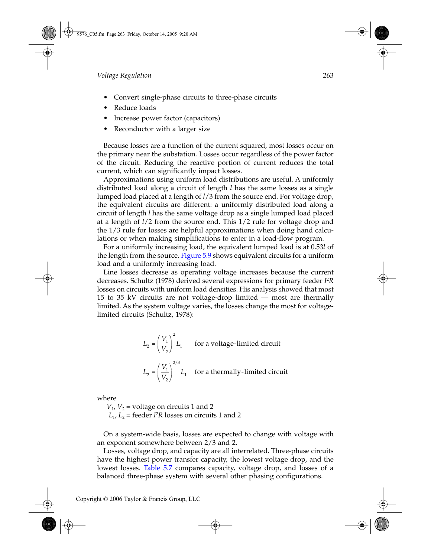- Convert single-phase circuits to three-phase circuits
- Reduce loads
- Increase power factor (capacitors)
- Reconductor with a larger size

Because losses are a function of the current squared, most losses occur on the primary near the substation. Losses occur regardless of the power factor of the circuit. Reducing the reactive portion of current reduces the total current, which can significantly impact losses.

Approximations using uniform load distributions are useful. A uniformly distributed load along a circuit of length *l* has the same losses as a single lumped load placed at a length of *l*/3 from the source end. For voltage drop, the equivalent circuits are different: a uniformly distributed load along a circuit of length *l* has the same voltage drop as a single lumped load placed at a length of *l*/2 from the source end. This 1/2 rule for voltage drop and the 1/3 rule for losses are helpful approximations when doing hand calculations or when making simplifications to enter in a load-flow program.

For a uniformly increasing load, the equivalent lumped load is at 0.53*l* of the length from the source[. Figure 5.9 s](#page-31-0)hows equivalent circuits for a uniform load and a uniformly increasing load.

Line losses decrease as operating voltage increases because the current decreases. Schultz (1978) derived several expressions for primary feeder *I*<sup>2</sup>*R* losses on circuits with uniform load densities. His analysis showed that most 15 to 35 kV circuits are not voltage-drop limited — most are thermally limited. As the system voltage varies, the losses change the most for voltagelimited circuits (Schultz, 1978):

> $L_2 = \left(\frac{V_1}{V_2}\right) L$  $L_2 = \left(\frac{V_1}{V_2}\right)^{-1} L$ 2 2  $=\left(\frac{V_1}{V}\right)^{-1}L_1$ 2  $2/3$  $=\left(\frac{V_1}{V}\right)^{2/3}L_1$ ⎝ ⎜ ⎞  $\int L_1$  for a voltage-limited circuit ⎝ ⎜ ⎞  $\int L_1$  for a thermally-limited circuit /

where

 $V_1$ ,  $V_2$  = voltage on circuits 1 and 2  $L_1$ ,  $L_2$  = feeder *I*<sup>2</sup>*R* losses on circuits 1 and 2

On a system-wide basis, losses are expected to change with voltage with an exponent somewhere between 2/3 and 2.

Losses, voltage drop, and capacity are all interrelated. Three-phase circuits have the highest power transfer capacity, the lowest voltage drop, and the lowest losses. [Table 5.7](#page-32-0) compares capacity, voltage drop, and losses of a balanced three-phase system with several other phasing configurations.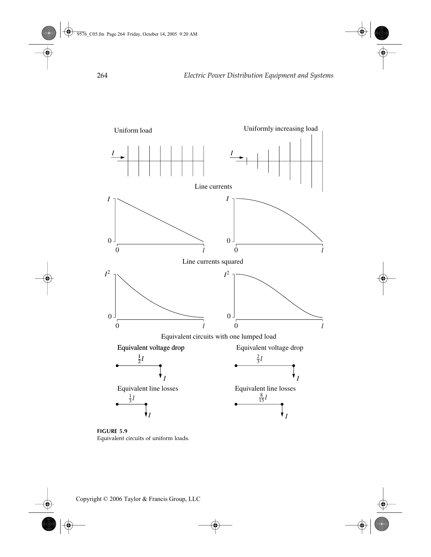<span id="page-31-0"></span>

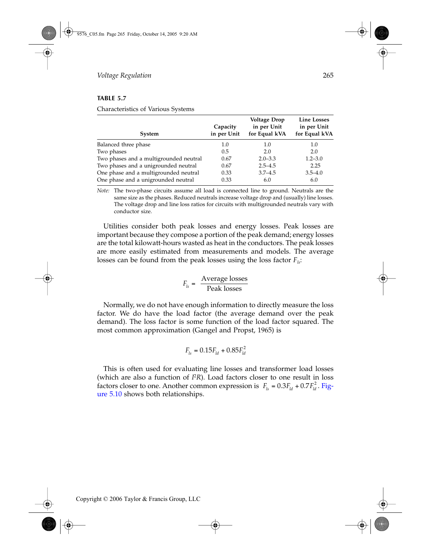#### <span id="page-32-0"></span>**TABLE 5.7**

| System                                 | Capacity<br>in per Unit | <b>Voltage Drop</b><br>in per Unit<br>for Equal kVA | <b>Line Losses</b><br>in per Unit<br>for Equal kVA |
|----------------------------------------|-------------------------|-----------------------------------------------------|----------------------------------------------------|
| Balanced three phase                   | 1.0                     | $1.0\,$                                             | 1.0                                                |
| Two phases                             | 0.5                     | 2.0                                                 | 2.0                                                |
| Two phases and a multigrounded neutral | 0.67                    | $2.0 - 3.3$                                         | $1.2 - 3.0$                                        |
| Two phases and a unigrounded neutral   | 0.67                    | $2.5 - 4.5$                                         | 2.25                                               |
| One phase and a multigrounded neutral  | 0.33                    | $3.7 - 4.5$                                         | $3.5 - 4.0$                                        |
| One phase and a unigrounded neutral    | 0.33                    | 6.0                                                 | 6.0                                                |

#### Characteristics of Various Systems

*Note:* The two-phase circuits assume all load is connected line to ground. Neutrals are the same size as the phases. Reduced neutrals increase voltage drop and (usually) line losses. The voltage drop and line loss ratios for circuits with multigrounded neutrals vary with conductor size.

Utilities consider both peak losses and energy losses. Peak losses are important because they compose a portion of the peak demand; energy losses are the total kilowatt-hours wasted as heat in the conductors. The peak losses are more easily estimated from measurements and models. The average losses can be found from the peak losses using the loss factor  $F_{ls}$ :

 $F_{ls} = \frac{\text{Average losses}}{\text{Peak losses}}$ 

Normally, we do not have enough information to directly measure the loss factor. We do have the load factor (the average demand over the peak demand). The loss factor is some function of the load factor squared. The most common approximation (Gangel and Propst, 1965) is

$$
F_{\rm ls} = 0.15 F_{\rm ld} + 0.85 F_{\rm ld}^2
$$

This is often used for evaluating line losses and transformer load losses (which are also a function of *I*<sup>2</sup>*R*). Load factors closer to one result in loss factors closer to one. Another common expression is  $F_{ls} = 0.3F_{ld} + 0.7F_{ld}^2$ . [Fig](#page-33-0)[ure 5.10 s](#page-33-0)hows both relationships.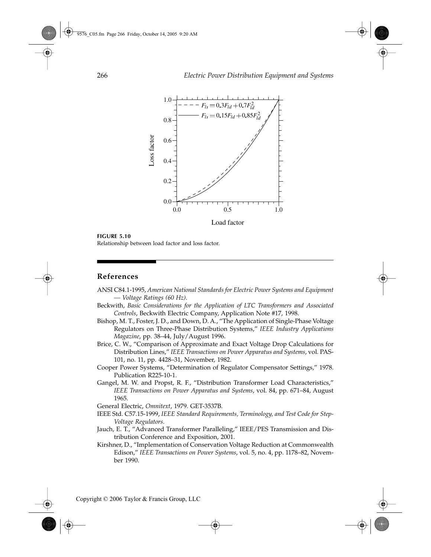<span id="page-33-0"></span>

**FIGURE 5.10** Relationship between load factor and loss factor.

## **References**

- ANSI C84.1-1995, *American National Standards for Electric Power Systems and Equipment — Voltage Ratings (60 Hz)*.
- Beckwith, *Basic Considerations for the Application of LTC Transformers and Associated Controls*, Beckwith Electric Company, Application Note #17, 1998.
- Bishop, M. T., Foster, J. D., and Down, D. A., "The Application of Single-Phase Voltage Regulators on Three-Phase Distribution Systems," *IEEE Industry Applications Magazine*, pp. 38–44, July/August 1996.
- Brice, C. W., "Comparison of Approximate and Exact Voltage Drop Calculations for Distribution Lines," *IEEE Transactions on Power Apparatus and Systems*, vol. PAS-101, no. 11, pp. 4428–31, November, 1982.
- Cooper Power Systems, "Determination of Regulator Compensator Settings," 1978. Publication R225-10-1.
- Gangel, M. W. and Propst, R. F., "Distribution Transformer Load Characteristics," *IEEE Transactions on Power Apparatus and Systems*, vol. 84, pp. 671–84, August 1965.
- General Electric, *Omnitext*, 1979. GET-3537B.

IEEE Std. C57.15-1999, *IEEE Standard Requirements, Terminology, and Test Code for Step-Voltage Regulators*.

- Jauch, E. T., "Advanced Transformer Paralleling," IEEE/PES Transmission and Distribution Conference and Exposition, 2001.
- Kirshner, D., "Implementation of Conservation Voltage Reduction at Commonwealth Edison," *IEEE Transactions on Power Systems*, vol. 5, no. 4, pp. 1178–82, November 1990.